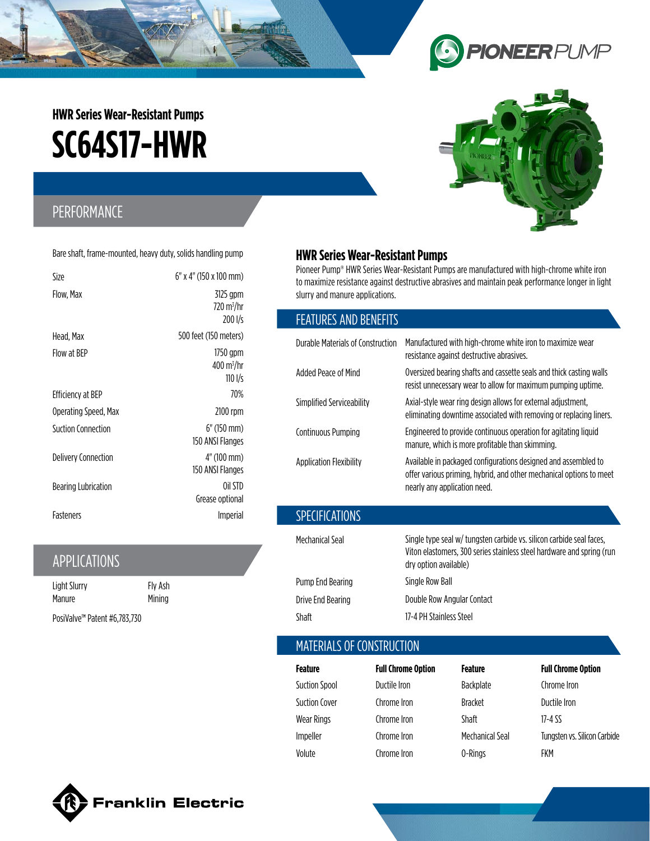# **SC64S17-HWR HWR Series Wear-Resistant Pumps**

# PERFORMANCE

Bare shaft, frame-mounted, heavy duty, solids handling pump

| Size                 | 6" x 4" (150 x 100 mm)                                                          |
|----------------------|---------------------------------------------------------------------------------|
| Flow, Max            | 3125 gpm<br>720 m <sup>3</sup> /hr<br>200 l/s                                   |
| Head, Max            | 500 feet (150 meters)                                                           |
| Flow at BEP          | 1750 gpm<br>$400 \,\mathrm{m}^3/\mathrm{hr}$<br>$110 \frac{\text{I}}{\text{s}}$ |
| Efficiency at BEP    | 70%                                                                             |
| Operating Speed, Max | 2100 rpm                                                                        |
| Suction Connection   | $6"$ (150 mm)<br>150 ANSI Flanges                                               |
| Delivery Connection  | $4"$ (100 mm)<br>150 ANSI Flanges                                               |
| Bearing Lubrication  | Oil STD<br>Grease optional                                                      |
| Fasteners            | <i>Imperial</i>                                                                 |

# APPLICATIONS

| Light Slurry                             | Fly Ash |
|------------------------------------------|---------|
| Manure                                   | Mining  |
| PosiValve <sup>™</sup> Patent #6,783,730 |         |

### **HWR Series Wear-Resistant Pumps**

Pioneer Pump® HWR Series Wear-Resistant Pumps are manufactured with high-chrome white iron to maximize resistance against destructive abrasives and maintain peak performance longer in light slurry and manure applications.

### FEATURES AND BENEFITS

| Durable Materials of Construction | Manufactured with high-chrome white iron to maximize wear<br>resistance against destructive abrasives.                                                                 |
|-----------------------------------|------------------------------------------------------------------------------------------------------------------------------------------------------------------------|
| Added Peace of Mind               | Oversized bearing shafts and cassette seals and thick casting walls<br>resist unnecessary wear to allow for maximum pumping uptime.                                    |
| Simplified Serviceability         | Axial-style wear ring design allows for external adjustment,<br>eliminating downtime associated with removing or replacing liners.                                     |
| Continuous Pumping                | Engineered to provide continuous operation for agitating liquid<br>manure, which is more profitable than skimming.                                                     |
| <b>Application Flexibility</b>    | Available in packaged configurations designed and assembled to<br>offer various priming, hybrid, and other mechanical options to meet<br>nearly any application need.  |
| <b>SPECIFICATIONS</b>             |                                                                                                                                                                        |
| Mechanical Seal                   | Single type seal w/ tungsten carbide vs. silicon carbide seal faces,<br>Viton elastomers, 300 series stainless steel hardware and spring (run<br>dry option available) |
| Pump End Bearing                  | Single Row Ball                                                                                                                                                        |
| Drive End Bearing                 | Double Row Angular Contact                                                                                                                                             |

## MATERIALS OF CONSTRUCTION

Shaft 17-4 PH Stainless Steel

| Feature              | <b>Full Chrome Option</b> | Feature         | <b>Full Chrome Option</b>    |
|----------------------|---------------------------|-----------------|------------------------------|
| <b>Suction Spool</b> | Ductile Iron              | Backplate       | Chrome Iron                  |
| Suction Cover        | Chrome Iron               | <b>Bracket</b>  | Ductile Iron                 |
| Wear Rings           | Chrome Iron               | Shaft           | 17-4 SS                      |
| Impeller             | Chrome Iron               | Mechanical Seal | Tungsten vs. Silicon Carbide |
| Volute               | Chrome Iron               | 0-Rings         | FKM                          |